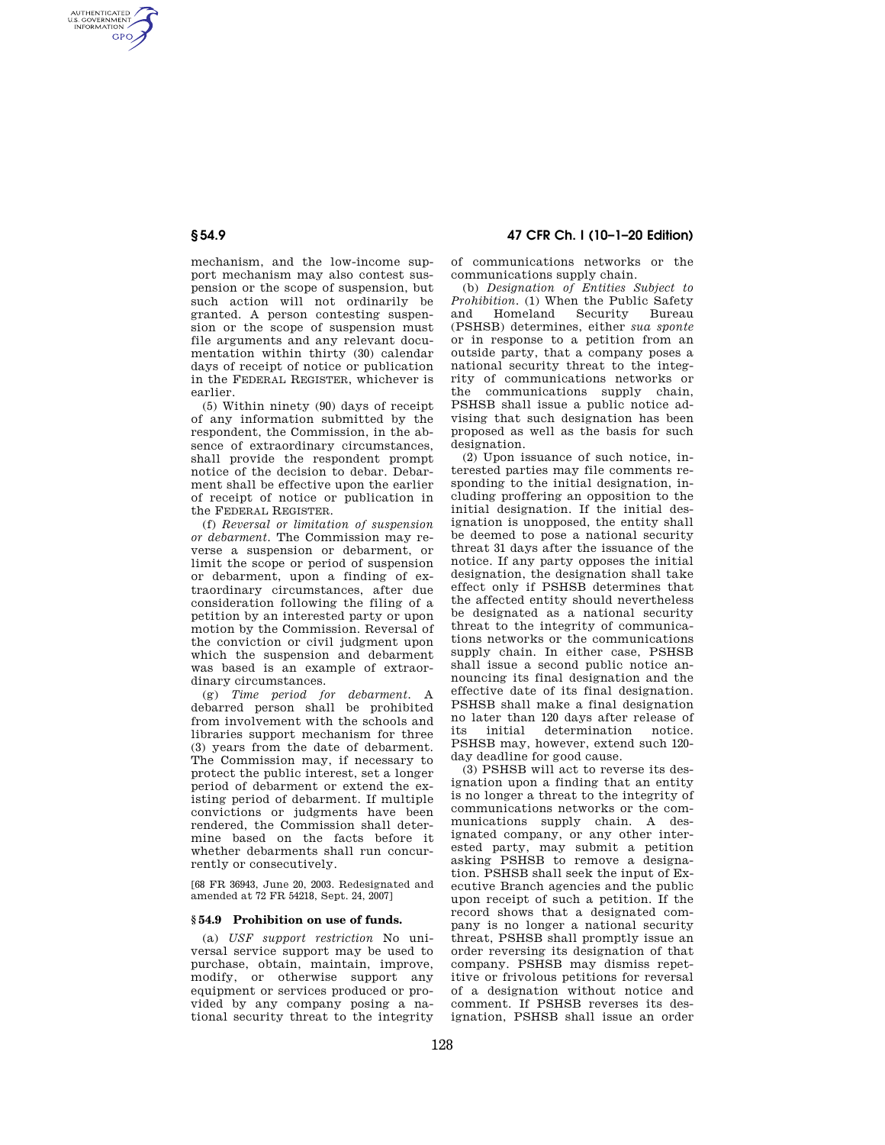AUTHENTICATED<br>U.S. GOVERNMENT<br>INFORMATION **GPO** 

> mechanism, and the low-income support mechanism may also contest suspension or the scope of suspension, but such action will not ordinarily be granted. A person contesting suspension or the scope of suspension must file arguments and any relevant documentation within thirty (30) calendar days of receipt of notice or publication in the FEDERAL REGISTER, whichever is earlier.

(5) Within ninety (90) days of receipt of any information submitted by the respondent, the Commission, in the absence of extraordinary circumstances, shall provide the respondent prompt notice of the decision to debar. Debarment shall be effective upon the earlier of receipt of notice or publication in the FEDERAL REGISTER.

(f) *Reversal or limitation of suspension or debarment.* The Commission may reverse a suspension or debarment, or limit the scope or period of suspension or debarment, upon a finding of extraordinary circumstances, after due consideration following the filing of a petition by an interested party or upon motion by the Commission. Reversal of the conviction or civil judgment upon which the suspension and debarment was based is an example of extraordinary circumstances.

(g) *Time period for debarment.* A debarred person shall be prohibited from involvement with the schools and libraries support mechanism for three (3) years from the date of debarment. The Commission may, if necessary to protect the public interest, set a longer period of debarment or extend the existing period of debarment. If multiple convictions or judgments have been rendered, the Commission shall determine based on the facts before it whether debarments shall run concurrently or consecutively.

[68 FR 36943, June 20, 2003. Redesignated and amended at 72 FR 54218, Sept. 24, 2007]

## **§ 54.9 Prohibition on use of funds.**

(a) *USF support restriction* No universal service support may be used to purchase, obtain, maintain, improve, modify, or otherwise support any equipment or services produced or provided by any company posing a national security threat to the integrity

# **§ 54.9 47 CFR Ch. I (10–1–20 Edition)**

of communications networks or the communications supply chain.

(b) *Designation of Entities Subject to Prohibition.* (1) When the Public Safety and Homeland (PSHSB) determines, either *sua sponte*  or in response to a petition from an outside party, that a company poses a national security threat to the integrity of communications networks or the communications supply chain, PSHSB shall issue a public notice advising that such designation has been proposed as well as the basis for such designation

(2) Upon issuance of such notice, interested parties may file comments responding to the initial designation, including proffering an opposition to the initial designation. If the initial designation is unopposed, the entity shall be deemed to pose a national security threat 31 days after the issuance of the notice. If any party opposes the initial designation, the designation shall take effect only if PSHSB determines that the affected entity should nevertheless be designated as a national security threat to the integrity of communications networks or the communications supply chain. In either case, PSHSB shall issue a second public notice announcing its final designation and the effective date of its final designation. PSHSB shall make a final designation no later than 120 days after release of its initial determination notice. PSHSB may, however, extend such 120 day deadline for good cause.

(3) PSHSB will act to reverse its designation upon a finding that an entity is no longer a threat to the integrity of communications networks or the communications supply chain. A designated company, or any other interested party, may submit a petition asking PSHSB to remove a designation. PSHSB shall seek the input of Executive Branch agencies and the public upon receipt of such a petition. If the record shows that a designated company is no longer a national security threat, PSHSB shall promptly issue an order reversing its designation of that company. PSHSB may dismiss repetitive or frivolous petitions for reversal of a designation without notice and comment. If PSHSB reverses its designation, PSHSB shall issue an order